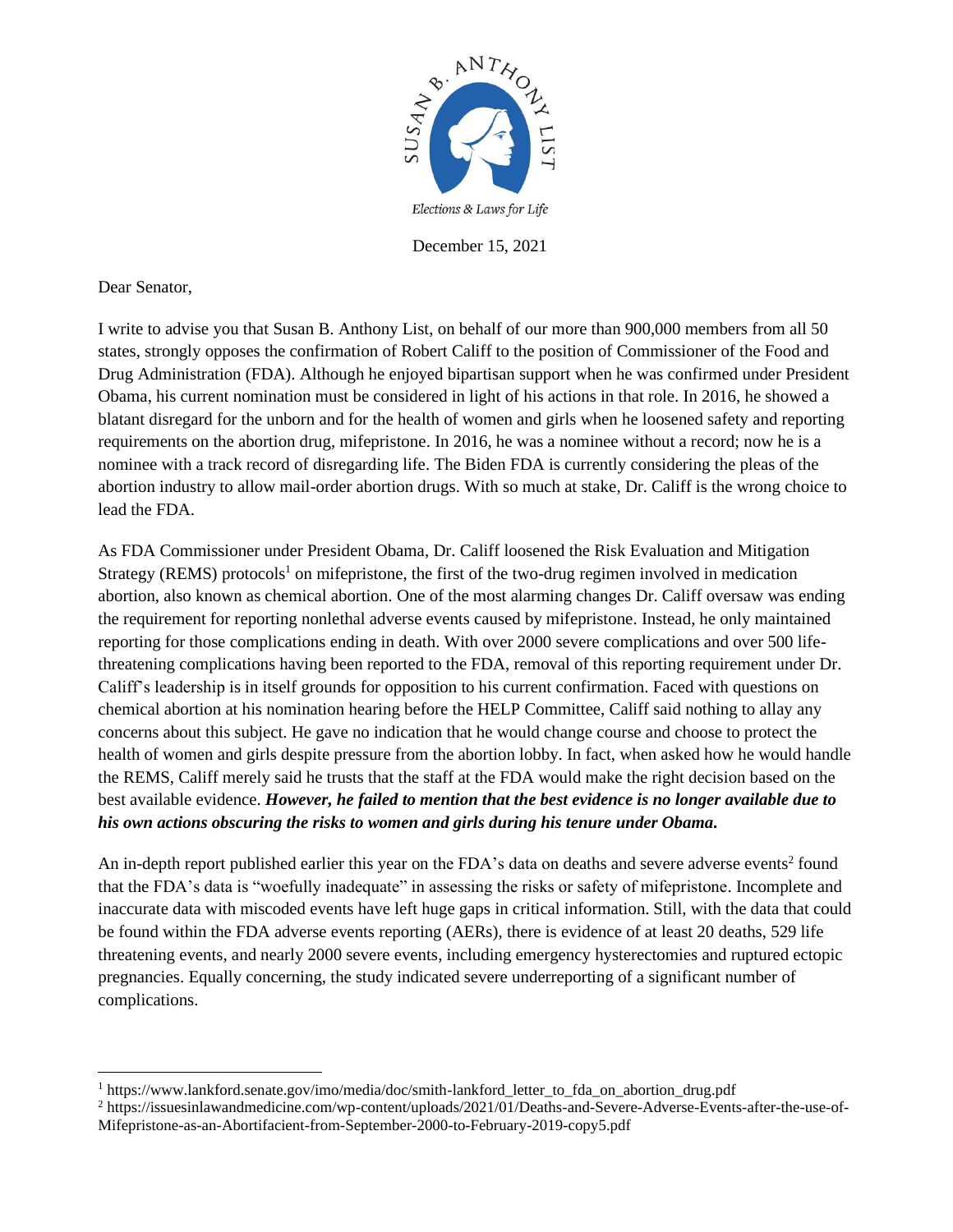

December 15, 2021

Dear Senator,

I write to advise you that Susan B. Anthony List, on behalf of our more than 900,000 members from all 50 states, strongly opposes the confirmation of Robert Califf to the position of Commissioner of the Food and Drug Administration (FDA). Although he enjoyed bipartisan support when he was confirmed under President Obama, his current nomination must be considered in light of his actions in that role. In 2016, he showed a blatant disregard for the unborn and for the health of women and girls when he loosened safety and reporting requirements on the abortion drug, mifepristone. In 2016, he was a nominee without a record; now he is a nominee with a track record of disregarding life. The Biden FDA is currently considering the pleas of the abortion industry to allow mail-order abortion drugs. With so much at stake, Dr. Califf is the wrong choice to lead the FDA.

As FDA Commissioner under President Obama, Dr. Califf loosened the Risk Evaluation and Mitigation Strategy (REMS) protocols<sup>1</sup> on mifepristone, the first of the two-drug regimen involved in medication abortion, also known as chemical abortion. One of the most alarming changes Dr. Califf oversaw was ending the requirement for reporting nonlethal adverse events caused by mifepristone. Instead, he only maintained reporting for those complications ending in death. With over 2000 severe complications and over 500 lifethreatening complications having been reported to the FDA, removal of this reporting requirement under Dr. Califf's leadership is in itself grounds for opposition to his current confirmation. Faced with questions on chemical abortion at his nomination hearing before the HELP Committee, Califf said nothing to allay any concerns about this subject. He gave no indication that he would change course and choose to protect the health of women and girls despite pressure from the abortion lobby. In fact, when asked how he would handle the REMS, Califf merely said he trusts that the staff at the FDA would make the right decision based on the best available evidence. *However, he failed to mention that the best evidence is no longer available due to his own actions obscuring the risks to women and girls during his tenure under Obama.*

An in-depth report published earlier this year on the FDA's data on deaths and severe adverse events<sup>2</sup> found that the FDA's data is "woefully inadequate" in assessing the risks or safety of mifepristone. Incomplete and inaccurate data with miscoded events have left huge gaps in critical information. Still, with the data that could be found within the FDA adverse events reporting (AERs), there is evidence of at least 20 deaths, 529 life threatening events, and nearly 2000 severe events, including emergency hysterectomies and ruptured ectopic pregnancies. Equally concerning, the study indicated severe underreporting of a significant number of complications.

<sup>1</sup> https://www.lankford.senate.gov/imo/media/doc/smith-lankford\_letter\_to\_fda\_on\_abortion\_drug.pdf

<sup>&</sup>lt;sup>2</sup> https://issuesinlawandmedicine.com/wp-content/uploads/2021/01/Deaths-and-Severe-Adverse-Events-after-the-use-of-Mifepristone-as-an-Abortifacient-from-September-2000-to-February-2019-copy5.pdf